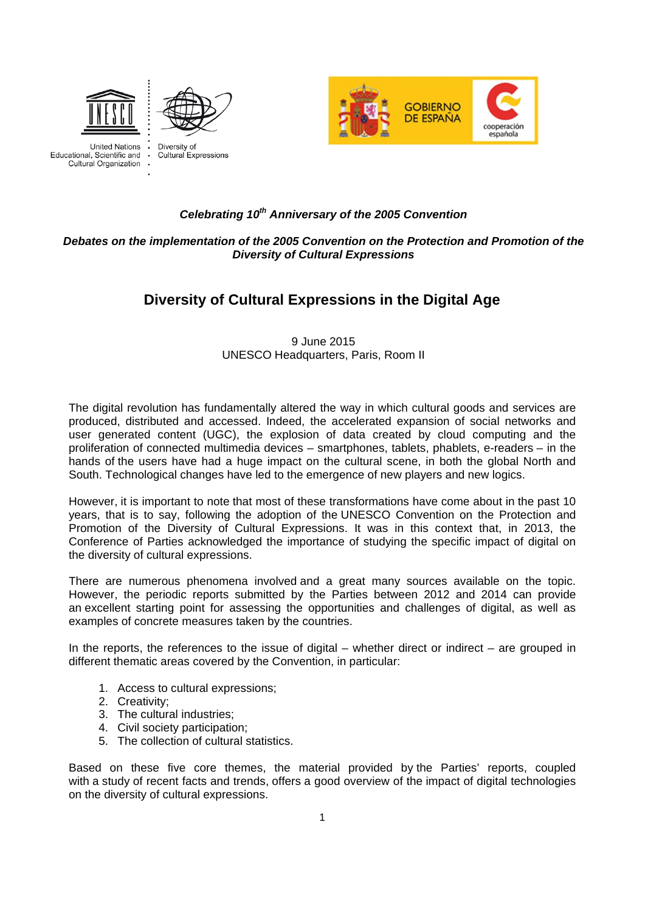





**United Nations** Educational, Scientific and **Cultural Organization**  Diversity of Cultural Expressions

#### *Celebrating 10th Anniversary of the 2005 Convention*

#### *Debates on the implementation of the 2005 Convention on the Protection and Promotion of the Diversity of Cultural Expressions*

# **Diversity of Cultural Expressions in the Digital Age**

9 June 2015 UNESCO Headquarters, Paris, Room II

The digital revolution has fundamentally altered the way in which cultural goods and services are produced, distributed and accessed. Indeed, the accelerated expansion of social networks and user generated content (UGC), the explosion of data created by cloud computing and the proliferation of connected multimedia devices – smartphones, tablets, phablets, e-readers – in the hands of the users have had a huge impact on the cultural scene, in both the global North and South. Technological changes have led to the emergence of new players and new logics.

However, it is important to note that most of these transformations have come about in the past 10 years, that is to say, following the adoption of the UNESCO Convention on the Protection and Promotion of the Diversity of Cultural Expressions. It was in this context that, in 2013, the Conference of Parties acknowledged the importance of studying the specific impact of digital on the diversity of cultural expressions.

There are numerous phenomena involved and a great many sources available on the topic. However, the periodic reports submitted by the Parties between 2012 and 2014 can provide an excellent starting point for assessing the opportunities and challenges of digital, as well as examples of concrete measures taken by the countries.

In the reports, the references to the issue of digital – whether direct or indirect – are grouped in different thematic areas covered by the Convention, in particular:

- 1. Access to cultural expressions;
- 2. Creativity;
- 3. The cultural industries;
- 4. Civil society participation;
- 5. The collection of cultural statistics.

Based on these five core themes, the material provided by the Parties' reports, coupled with a study of recent facts and trends, offers a good overview of the impact of digital technologies on the diversity of cultural expressions.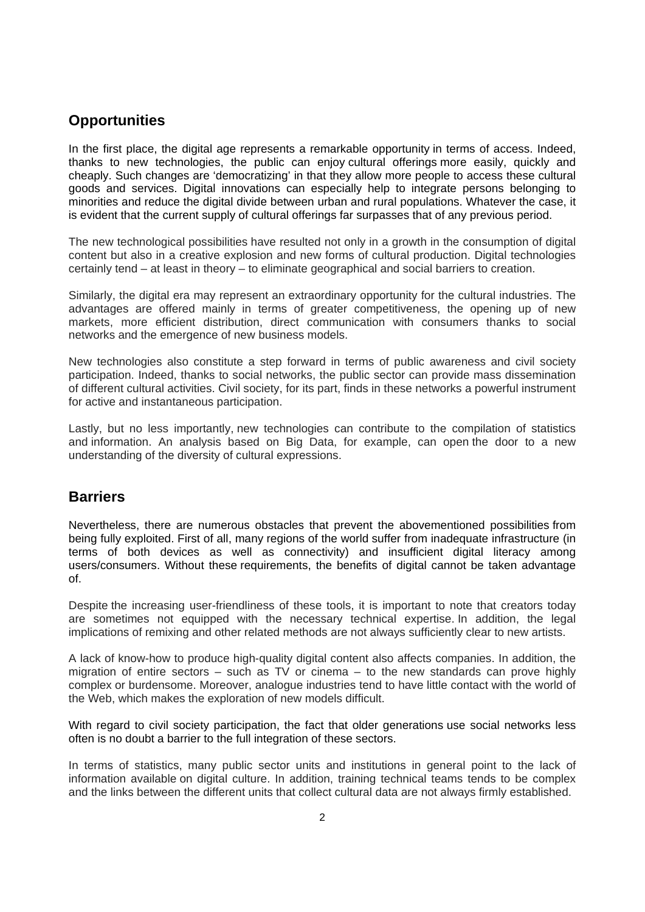## **Opportunities**

In the first place, the digital age represents a remarkable opportunity in terms of access. Indeed, thanks to new technologies, the public can enjoy cultural offerings more easily, quickly and cheaply. Such changes are 'democratizing' in that they allow more people to access these cultural goods and services. Digital innovations can especially help to integrate persons belonging to minorities and reduce the digital divide between urban and rural populations. Whatever the case, it is evident that the current supply of cultural offerings far surpasses that of any previous period.

The new technological possibilities have resulted not only in a growth in the consumption of digital content but also in a creative explosion and new forms of cultural production. Digital technologies certainly tend – at least in theory – to eliminate geographical and social barriers to creation.

Similarly, the digital era may represent an extraordinary opportunity for the cultural industries. The advantages are offered mainly in terms of greater competitiveness, the opening up of new markets, more efficient distribution, direct communication with consumers thanks to social networks and the emergence of new business models.

New technologies also constitute a step forward in terms of public awareness and civil society participation. Indeed, thanks to social networks, the public sector can provide mass dissemination of different cultural activities. Civil society, for its part, finds in these networks a powerful instrument for active and instantaneous participation.

Lastly, but no less importantly, new technologies can contribute to the compilation of statistics and information. An analysis based on Big Data, for example, can open the door to a new understanding of the diversity of cultural expressions.

## **Barriers**

Nevertheless, there are numerous obstacles that prevent the abovementioned possibilities from being fully exploited. First of all, many regions of the world suffer from inadequate infrastructure (in terms of both devices as well as connectivity) and insufficient digital literacy among users/consumers. Without these requirements, the benefits of digital cannot be taken advantage of.

Despite the increasing user-friendliness of these tools, it is important to note that creators today are sometimes not equipped with the necessary technical expertise. In addition, the legal implications of remixing and other related methods are not always sufficiently clear to new artists.

A lack of know-how to produce high-quality digital content also affects companies. In addition, the migration of entire sectors  $-$  such as TV or cinema  $-$  to the new standards can prove highly complex or burdensome. Moreover, analogue industries tend to have little contact with the world of the Web, which makes the exploration of new models difficult.

With regard to civil society participation, the fact that older generations use social networks less often is no doubt a barrier to the full integration of these sectors.

In terms of statistics, many public sector units and institutions in general point to the lack of information available on digital culture. In addition, training technical teams tends to be complex and the links between the different units that collect cultural data are not always firmly established.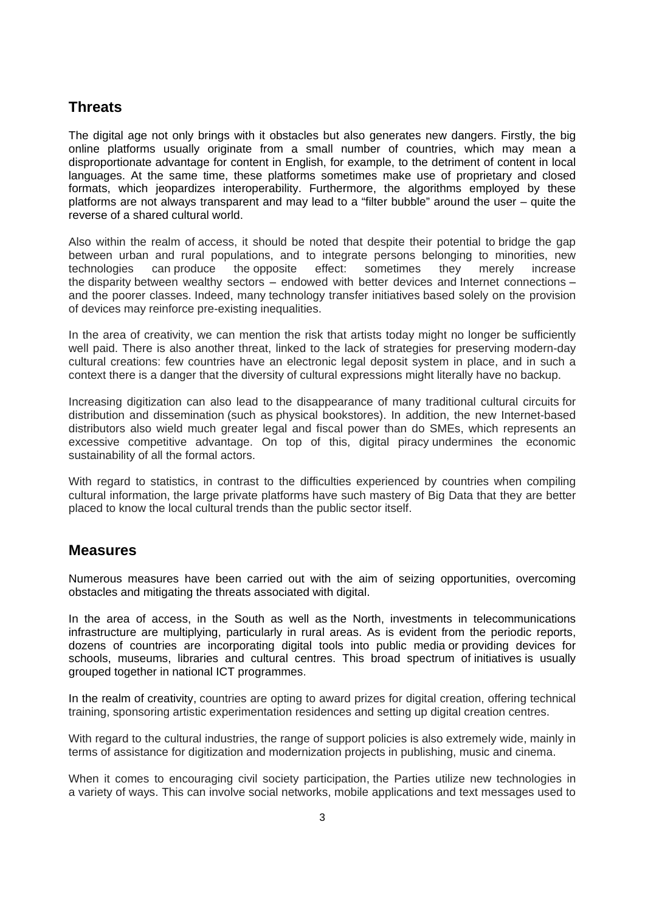# **Threats**

The digital age not only brings with it obstacles but also generates new dangers. Firstly, the big online platforms usually originate from a small number of countries, which may mean a disproportionate advantage for content in English, for example, to the detriment of content in local languages. At the same time, these platforms sometimes make use of proprietary and closed formats, which jeopardizes interoperability. Furthermore, the algorithms employed by these platforms are not always transparent and may lead to a "filter bubble" around the user – quite the reverse of a shared cultural world.

Also within the realm of access, it should be noted that despite their potential to bridge the gap between urban and rural populations, and to integrate persons belonging to minorities, new technologies can produce the opposite effect: sometimes they merely increase the disparity between wealthy sectors – endowed with better devices and Internet connections – and the poorer classes. Indeed, many technology transfer initiatives based solely on the provision of devices may reinforce pre-existing inequalities.

In the area of creativity, we can mention the risk that artists today might no longer be sufficiently well paid. There is also another threat, linked to the lack of strategies for preserving modern-day cultural creations: few countries have an electronic legal deposit system in place, and in such a context there is a danger that the diversity of cultural expressions might literally have no backup.

Increasing digitization can also lead to the disappearance of many traditional cultural circuits for distribution and dissemination (such as physical bookstores). In addition, the new Internet-based distributors also wield much greater legal and fiscal power than do SMEs, which represents an excessive competitive advantage. On top of this, digital piracy undermines the economic sustainability of all the formal actors.

With regard to statistics, in contrast to the difficulties experienced by countries when compiling cultural information, the large private platforms have such mastery of Big Data that they are better placed to know the local cultural trends than the public sector itself.

#### **Measures**

Numerous measures have been carried out with the aim of seizing opportunities, overcoming obstacles and mitigating the threats associated with digital.

In the area of access, in the South as well as the North, investments in telecommunications infrastructure are multiplying, particularly in rural areas. As is evident from the periodic reports, dozens of countries are incorporating digital tools into public media or providing devices for schools, museums, libraries and cultural centres. This broad spectrum of initiatives is usually grouped together in national ICT programmes.

In the realm of creativity, countries are opting to award prizes for digital creation, offering technical training, sponsoring artistic experimentation residences and setting up digital creation centres.

With regard to the cultural industries, the range of support policies is also extremely wide, mainly in terms of assistance for digitization and modernization projects in publishing, music and cinema.

When it comes to encouraging civil society participation, the Parties utilize new technologies in a variety of ways. This can involve social networks, mobile applications and text messages used to